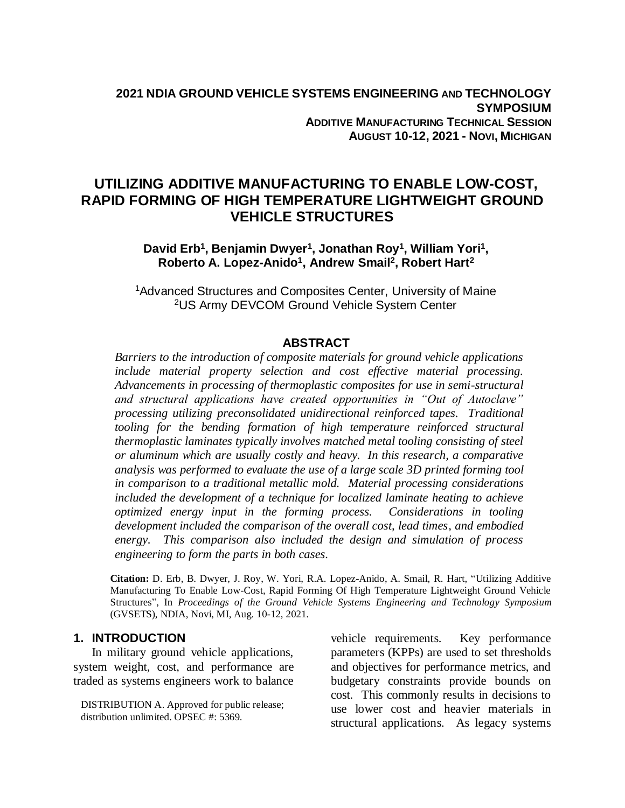# **UTILIZING ADDITIVE MANUFACTURING TO ENABLE LOW-COST, RAPID FORMING OF HIGH TEMPERATURE LIGHTWEIGHT GROUND VEHICLE STRUCTURES**

David Erb<sup>1</sup>, Benjamin Dwyer<sup>1</sup>, Jonathan Roy<sup>1</sup>, William Yori<sup>1</sup>, **Roberto A. Lopez-Anido<sup>1</sup> , Andrew Smail<sup>2</sup> , Robert Hart<sup>2</sup>**

<sup>1</sup>Advanced Structures and Composites Center, University of Maine <sup>2</sup>US Army DEVCOM Ground Vehicle System Center

#### **ABSTRACT**

*Barriers to the introduction of composite materials for ground vehicle applications include material property selection and cost effective material processing. Advancements in processing of thermoplastic composites for use in semi-structural and structural applications have created opportunities in "Out of Autoclave" processing utilizing preconsolidated unidirectional reinforced tapes. Traditional tooling for the bending formation of high temperature reinforced structural thermoplastic laminates typically involves matched metal tooling consisting of steel or aluminum which are usually costly and heavy. In this research, a comparative analysis was performed to evaluate the use of a large scale 3D printed forming tool in comparison to a traditional metallic mold. Material processing considerations included the development of a technique for localized laminate heating to achieve optimized energy input in the forming process. Considerations in tooling development included the comparison of the overall cost, lead times, and embodied energy. This comparison also included the design and simulation of process engineering to form the parts in both cases.*

**Citation:** D. Erb, B. Dwyer, J. Roy, W. Yori, R.A. Lopez-Anido, A. Smail, R. Hart, "Utilizing Additive Manufacturing To Enable Low-Cost, Rapid Forming Of High Temperature Lightweight Ground Vehicle Structures", In *Proceedings of the Ground Vehicle Systems Engineering and Technology Symposium* (GVSETS), NDIA, Novi, MI, Aug. 10-12, 2021.

#### **1. INTRODUCTION**

In military ground vehicle applications, system weight, cost, and performance are traded as systems engineers work to balance

DISTRIBUTION A. Approved for public release; distribution unlimited. OPSEC #: 5369.

vehicle requirements. Key performance parameters (KPPs) are used to set thresholds and objectives for performance metrics, and budgetary constraints provide bounds on cost. This commonly results in decisions to use lower cost and heavier materials in structural applications. As legacy systems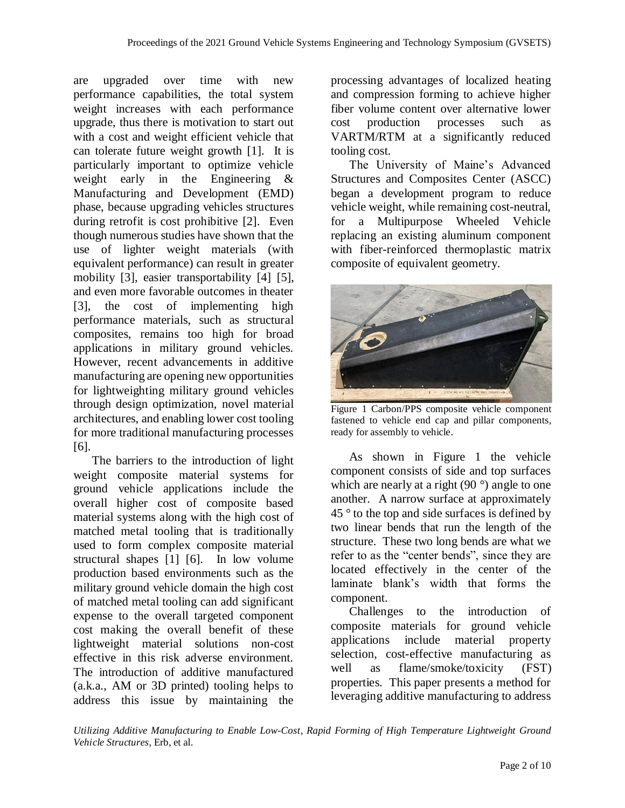are upgraded over time with new performance capabilities, the total system weight increases with each performance upgrade, thus there is motivation to start out with a cost and weight efficient vehicle that can tolerate future weight growth [1]. It is particularly important to optimize vehicle weight early in the Engineering & Manufacturing and Development (EMD) phase, because upgrading vehicles structures during retrofit is cost prohibitive [2]. Even though numerous studies have shown that the use of lighter weight materials (with equivalent performance) can result in greater mobility [3], easier transportability [4] [5], and even more favorable outcomes in theater [3], the cost of implementing high performance materials, such as structural composites, remains too high for broad applications in military ground vehicles. However, recent advancements in additive manufacturing are opening new opportunities for lightweighting military ground vehicles through design optimization, novel material architectures, and enabling lower cost tooling for more traditional manufacturing processes [6].

The barriers to the introduction of light weight composite material systems for ground vehicle applications include the overall higher cost of composite based material systems along with the high cost of matched metal tooling that is traditionally used to form complex composite material structural shapes [1] [6]. In low volume production based environments such as the military ground vehicle domain the high cost of matched metal tooling can add significant expense to the overall targeted component cost making the overall benefit of these lightweight material solutions non-cost effective in this risk adverse environment. The introduction of additive manufactured (a.k.a., AM or 3D printed) tooling helps to address this issue by maintaining the

processing advantages of localized heating and compression forming to achieve higher fiber volume content over alternative lower cost production processes such as VARTM/RTM at a significantly reduced tooling cost.

The University of Maine's Advanced Structures and Composites Center (ASCC) began a development program to reduce vehicle weight, while remaining cost-neutral, for a Multipurpose Wheeled Vehicle replacing an existing aluminum component with fiber-reinforced thermoplastic matrix composite of equivalent geometry.



Figure 1 Carbon/PPS composite vehicle component fastened to vehicle end cap and pillar components, ready for assembly to vehicle.

As shown in Figure 1 the vehicle component consists of side and top surfaces which are nearly at a right (90 $\degree$ ) angle to one another. A narrow surface at approximately  $45^\circ$  to the top and side surfaces is defined by two linear bends that run the length of the structure. These two long bends are what we refer to as the "center bends", since they are located effectively in the center of the laminate blank's width that forms the component.

Challenges to the introduction of composite materials for ground vehicle applications include material property selection, cost-effective manufacturing as well as flame/smoke/toxicity (FST) properties. This paper presents a method for leveraging additive manufacturing to address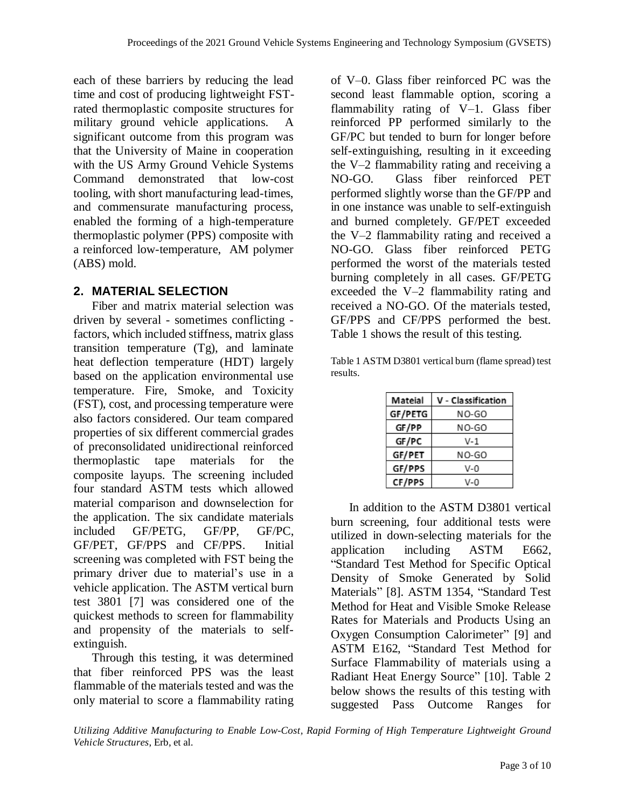each of these barriers by reducing the lead time and cost of producing lightweight FSTrated thermoplastic composite structures for military ground vehicle applications. A significant outcome from this program was that the University of Maine in cooperation with the US Army Ground Vehicle Systems Command demonstrated that low-cost tooling, with short manufacturing lead-times, and commensurate manufacturing process, enabled the forming of a high-temperature thermoplastic polymer (PPS) composite with a reinforced low-temperature, AM polymer (ABS) mold.

## **2. MATERIAL SELECTION**

Fiber and matrix material selection was driven by several - sometimes conflicting factors, which included stiffness, matrix glass transition temperature (Tg), and laminate heat deflection temperature (HDT) largely based on the application environmental use temperature. Fire, Smoke, and Toxicity (FST), cost, and processing temperature were also factors considered. Our team compared properties of six different commercial grades of preconsolidated unidirectional reinforced thermoplastic tape materials for the composite layups. The screening included four standard ASTM tests which allowed material comparison and downselection for the application. The six candidate materials included GF/PETG, GF/PP, GF/PC, GF/PET, GF/PPS and CF/PPS. Initial screening was completed with FST being the primary driver due to material's use in a vehicle application. The ASTM vertical burn test 3801 [7] was considered one of the quickest methods to screen for flammability and propensity of the materials to selfextinguish.

Through this testing, it was determined that fiber reinforced PPS was the least flammable of the materials tested and was the only material to score a flammability rating

of V–0. Glass fiber reinforced PC was the second least flammable option, scoring a flammability rating of V–1. Glass fiber reinforced PP performed similarly to the GF/PC but tended to burn for longer before self-extinguishing, resulting in it exceeding the V–2 flammability rating and receiving a NO-GO. Glass fiber reinforced PET performed slightly worse than the GF/PP and in one instance was unable to self-extinguish and burned completely. GF/PET exceeded the V–2 flammability rating and received a NO-GO. Glass fiber reinforced PETG performed the worst of the materials tested burning completely in all cases. GF/PETG exceeded the V–2 flammability rating and received a NO-GO. Of the materials tested, GF/PPS and CF/PPS performed the best. Table 1 shows the result of this testing.

Table 1 ASTM D3801 vertical burn (flame spread) test results.

| Mateial       | V - Classification |  |  |  |  |  |
|---------------|--------------------|--|--|--|--|--|
| GF/PETG       | NO-GO              |  |  |  |  |  |
| GF/PP         | NO-GO              |  |  |  |  |  |
| GF/PC         | V-1                |  |  |  |  |  |
| GF/PET        | NO-GO              |  |  |  |  |  |
| GF/PPS        | V-0                |  |  |  |  |  |
| <b>CF/PPS</b> | ง-ด                |  |  |  |  |  |

In addition to the ASTM D3801 vertical burn screening, four additional tests were utilized in down-selecting materials for the application including ASTM E662, "Standard Test Method for Specific Optical Density of Smoke Generated by Solid Materials" [8]. ASTM 1354, "Standard Test Method for Heat and Visible Smoke Release Rates for Materials and Products Using an Oxygen Consumption Calorimeter" [9] and ASTM E162, "Standard Test Method for Surface Flammability of materials using a Radiant Heat Energy Source" [10]. Table 2 below shows the results of this testing with suggested Pass Outcome Ranges for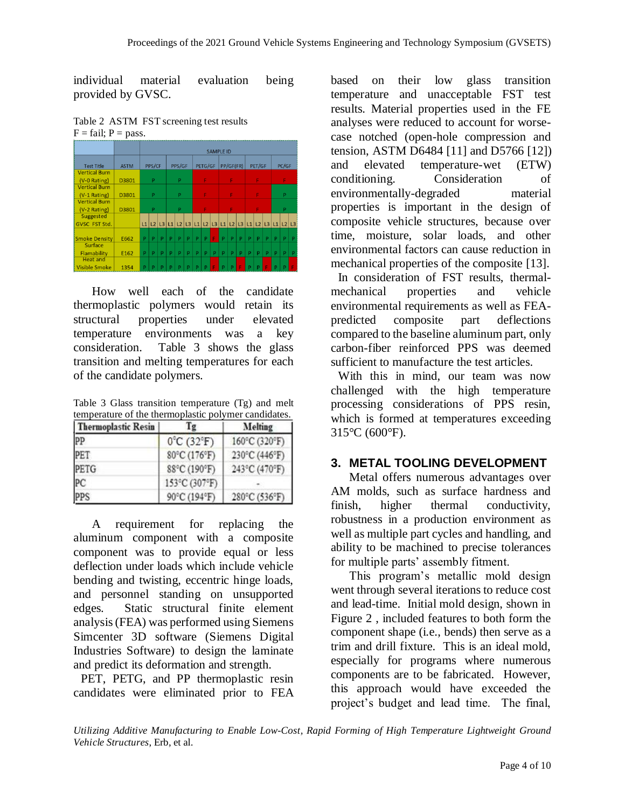individual material evaluation being provided by GVSC.

Table 2 ASTM FST screening test results  $F = \text{fail}$ ;  $P = \text{pass}$ .

|                      |             | <b>SAMPLE ID</b> |   |   |                                                                |   |   |         |   |   |           |   |   |        |   |       |   |   |   |
|----------------------|-------------|------------------|---|---|----------------------------------------------------------------|---|---|---------|---|---|-----------|---|---|--------|---|-------|---|---|---|
| <b>Test Title</b>    | <b>ASTM</b> |                  |   |   | PPS/GF                                                         |   |   | PETG/GF |   |   | PP/GF(FR) |   |   | PET/GF |   | PC/GF |   |   |   |
| <b>Vertical Burn</b> |             | PPS/CF           |   |   |                                                                |   |   |         |   |   |           |   |   |        |   |       |   |   |   |
| (V-0 Rating)         | D3801       | P                |   | P |                                                                | F |   | F       |   | F |           | F |   |        |   |       |   |   |   |
| <b>Vertical Burn</b> |             |                  |   |   |                                                                |   |   |         |   |   |           |   |   |        |   |       |   |   |   |
| (V-1 Rating)         | D3801       | P                |   | p |                                                                | F |   | F       |   | F |           | P |   |        |   |       |   |   |   |
| <b>Vertical Burn</b> |             |                  |   |   |                                                                |   |   |         |   |   |           |   |   |        |   |       |   |   |   |
| (V-2 Rating)         | D3801       | p                |   | P |                                                                | F |   | F       |   | F |           | P |   |        |   |       |   |   |   |
| <b>Suggested</b>     |             |                  |   |   |                                                                |   |   |         |   |   |           |   |   |        |   |       |   |   |   |
| GVSC FST Std.        |             |                  |   |   | L1 L2 L3 L1 L2 L3 L1 L2 L3 L1 L2 L3 L1 L2 L3 L1 L2 L3 L1 L2 L3 |   |   |         |   |   |           |   |   |        |   |       |   |   |   |
|                      |             |                  |   |   |                                                                |   |   |         |   |   |           |   |   |        |   |       |   |   |   |
| <b>Smoke Density</b> | E662        | P                | P | P | P                                                              | p | P | Þ       | Þ | F | P         | P | P | P      | P | P     | Þ | Þ | P |
| Surface              |             |                  |   |   |                                                                |   |   |         |   |   |           |   |   |        |   |       |   |   |   |
| Flamability          | E162        | P                | P | P | P                                                              | P | P | Þ       | p | p | P         | P | P | P      | P | p     | P | Þ | P |
| <b>Heat and</b>      |             |                  |   |   |                                                                |   |   |         |   |   |           |   |   |        |   |       |   |   |   |
| Visible Smoke        | 1354        | Þ                | p |   | p                                                              | p |   |         |   |   |           |   |   | p      | p |       |   |   |   |

How well each of the candidate thermoplastic polymers would retain its structural properties under elevated temperature environments was a key consideration. Table 3 shows the glass transition and melting temperatures for each of the candidate polymers.

Table 3 Glass transition temperature (Tg) and melt temperature of the thermoplastic polymer candidates.

| <b>Thermoplastic Resin</b> | Γg                              | Melting       |  |  |  |
|----------------------------|---------------------------------|---------------|--|--|--|
| PP                         | $0^{\circ}$ C (32 $^{\circ}$ F) | 160°C (320°F) |  |  |  |
| PET                        | 80°C (176°F)                    | 230°C (446°F) |  |  |  |
| PETG                       | 88°C (190°F)                    | 243°C (470°F) |  |  |  |
| PC                         | 153°C (307°F)                   |               |  |  |  |
| PPS                        | 90°C (194°F)                    | 280°C (536°F) |  |  |  |

A requirement for replacing the aluminum component with a composite component was to provide equal or less deflection under loads which include vehicle bending and twisting, eccentric hinge loads, and personnel standing on unsupported edges. Static structural finite element analysis (FEA) was performed using Siemens Simcenter 3D software (Siemens Digital Industries Software) to design the laminate and predict its deformation and strength.

PET, PETG, and PP thermoplastic resin candidates were eliminated prior to FEA

based on their low glass transition temperature and unacceptable FST test results. Material properties used in the FE analyses were reduced to account for worsecase notched (open-hole compression and tension, ASTM D6484 [11] and D5766 [12]) and elevated temperature-wet (ETW) conditioning. Consideration of environmentally-degraded material properties is important in the design of composite vehicle structures, because over time, moisture, solar loads, and other environmental factors can cause reduction in mechanical properties of the composite [13].

In consideration of FST results, thermalmechanical properties and vehicle environmental requirements as well as FEApredicted composite part deflections compared to the baseline aluminum part, only carbon-fiber reinforced PPS was deemed sufficient to manufacture the test articles.

With this in mind, our team was now challenged with the high temperature processing considerations of PPS resin, which is formed at temperatures exceeding 315°C (600°F).

# **3. METAL TOOLING DEVELOPMENT**

Metal offers numerous advantages over AM molds, such as surface hardness and finish, higher thermal conductivity, robustness in a production environment as well as multiple part cycles and handling, and ability to be machined to precise tolerances for multiple parts' assembly fitment.

This program's metallic mold design went through several iterations to reduce cost and lead-time. Initial mold design, shown in Figure 2 , included features to both form the component shape (i.e., bends) then serve as a trim and drill fixture. This is an ideal mold, especially for programs where numerous components are to be fabricated. However, this approach would have exceeded the project's budget and lead time. The final,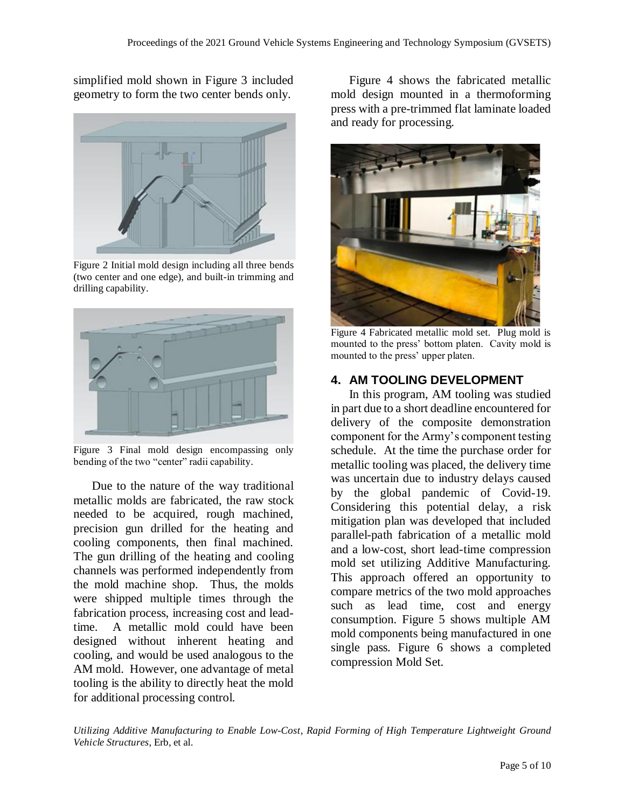simplified mold shown in Figure 3 included geometry to form the two center bends only.



Figure 2 Initial mold design including all three bends (two center and one edge), and built-in trimming and drilling capability.



Figure 3 Final mold design encompassing only bending of the two "center" radii capability.

Due to the nature of the way traditional metallic molds are fabricated, the raw stock needed to be acquired, rough machined, precision gun drilled for the heating and cooling components, then final machined. The gun drilling of the heating and cooling channels was performed independently from the mold machine shop. Thus, the molds were shipped multiple times through the fabrication process, increasing cost and leadtime. A metallic mold could have been designed without inherent heating and cooling, and would be used analogous to the AM mold. However, one advantage of metal tooling is the ability to directly heat the mold for additional processing control.

Figure 4 shows the fabricated metallic mold design mounted in a thermoforming press with a pre-trimmed flat laminate loaded and ready for processing.



Figure 4 Fabricated metallic mold set. Plug mold is mounted to the press' bottom platen. Cavity mold is mounted to the press' upper platen.

# **4. AM TOOLING DEVELOPMENT**

In this program, AM tooling was studied in part due to a short deadline encountered for delivery of the composite demonstration component for the Army's component testing schedule. At the time the purchase order for metallic tooling was placed, the delivery time was uncertain due to industry delays caused by the global pandemic of Covid-19. Considering this potential delay, a risk mitigation plan was developed that included parallel-path fabrication of a metallic mold and a low-cost, short lead-time compression mold set utilizing Additive Manufacturing. This approach offered an opportunity to compare metrics of the two mold approaches such as lead time, cost and energy consumption. Figure 5 shows multiple AM mold components being manufactured in one single pass. Figure 6 shows a completed compression Mold Set.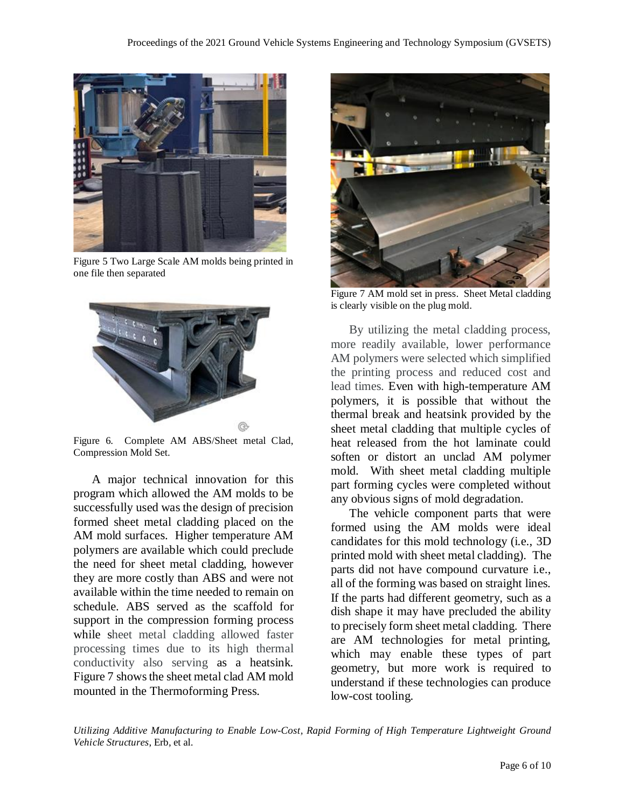

Figure 5 Two Large Scale AM molds being printed in one file then separated



Figure 6. Complete AM ABS/Sheet metal Clad, Compression Mold Set.

A major technical innovation for this program which allowed the AM molds to be successfully used was the design of precision formed sheet metal cladding placed on the AM mold surfaces. Higher temperature AM polymers are available which could preclude the need for sheet metal cladding, however they are more costly than ABS and were not available within the time needed to remain on schedule. ABS served as the scaffold for support in the compression forming process while sheet metal cladding allowed faster processing times due to its high thermal conductivity also serving as a heatsink. Figure 7 shows the sheet metal clad AM mold mounted in the Thermoforming Press.



Figure 7 AM mold set in press. Sheet Metal cladding is clearly visible on the plug mold.

By utilizing the metal cladding process, more readily available, lower performance AM polymers were selected which simplified the printing process and reduced cost and lead times. Even with high-temperature AM polymers, it is possible that without the thermal break and heatsink provided by the sheet metal cladding that multiple cycles of heat released from the hot laminate could soften or distort an unclad AM polymer mold. With sheet metal cladding multiple part forming cycles were completed without any obvious signs of mold degradation.

The vehicle component parts that were formed using the AM molds were ideal candidates for this mold technology (i.e., 3D printed mold with sheet metal cladding). The parts did not have compound curvature i.e., all of the forming was based on straight lines. If the parts had different geometry, such as a dish shape it may have precluded the ability to precisely form sheet metal cladding. There are AM technologies for metal printing, which may enable these types of part geometry, but more work is required to understand if these technologies can produce low-cost tooling.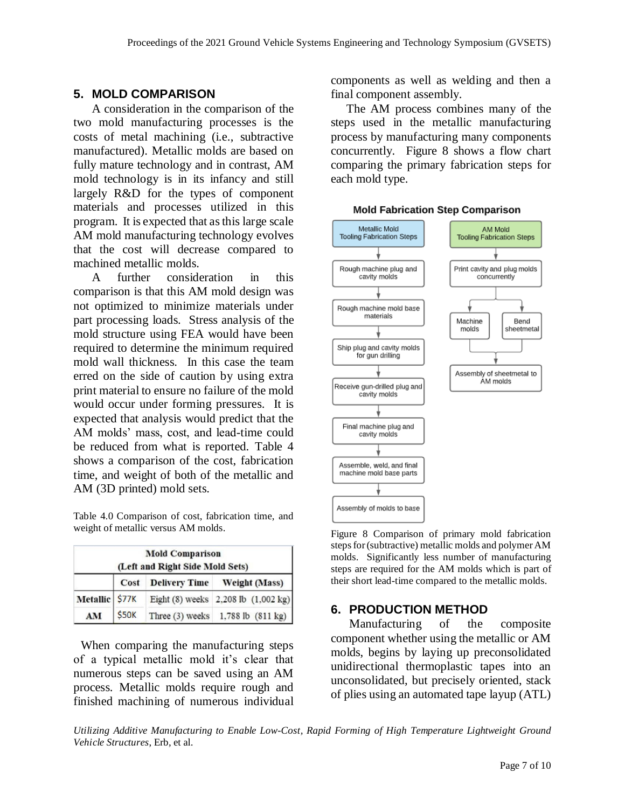### **5. MOLD COMPARISON**

A consideration in the comparison of the two mold manufacturing processes is the costs of metal machining (i.e., subtractive manufactured). Metallic molds are based on fully mature technology and in contrast, AM mold technology is in its infancy and still largely R&D for the types of component materials and processes utilized in this program. It is expected that as this large scale AM mold manufacturing technology evolves that the cost will decrease compared to machined metallic molds.

A further consideration in this comparison is that this AM mold design was not optimized to minimize materials under part processing loads. Stress analysis of the mold structure using FEA would have been required to determine the minimum required mold wall thickness. In this case the team erred on the side of caution by using extra print material to ensure no failure of the mold would occur under forming pressures. It is expected that analysis would predict that the AM molds' mass, cost, and lead-time could be reduced from what is reported. Table 4 shows a comparison of the cost, fabrication time, and weight of both of the metallic and AM (3D printed) mold sets.

Table 4.0 Comparison of cost, fabrication time, and weight of metallic versus AM molds.

| <b>Mold Comparison</b><br>(Left and Right Side Mold Sets) |              |                                              |                                     |  |  |  |  |
|-----------------------------------------------------------|--------------|----------------------------------------------|-------------------------------------|--|--|--|--|
|                                                           | Cost         | <b>Weight (Mass)</b><br><b>Delivery Time</b> |                                     |  |  |  |  |
| Metallic \$77K                                            |              |                                              | Eight (8) weeks 2,208 lb (1,002 kg) |  |  |  |  |
| AM                                                        | <b>\$50K</b> |                                              | Three (3) weeks 1,788 lb (811 kg)   |  |  |  |  |

 When comparing the manufacturing steps of a typical metallic mold it's clear that numerous steps can be saved using an AM process. Metallic molds require rough and finished machining of numerous individual components as well as welding and then a final component assembly.

 The AM process combines many of the steps used in the metallic manufacturing process by manufacturing many components concurrently. Figure 8 shows a flow chart comparing the primary fabrication steps for each mold type.

#### **Mold Fabrication Step Comparison**



Figure 8 Comparison of primary mold fabrication steps for (subtractive) metallic molds and polymer AM molds. Significantly less number of manufacturing steps are required for the AM molds which is part of their short lead-time compared to the metallic molds.

### **6. PRODUCTION METHOD**

Manufacturing of the composite component whether using the metallic or AM molds, begins by laying up preconsolidated unidirectional thermoplastic tapes into an unconsolidated, but precisely oriented, stack of plies using an automated tape layup (ATL)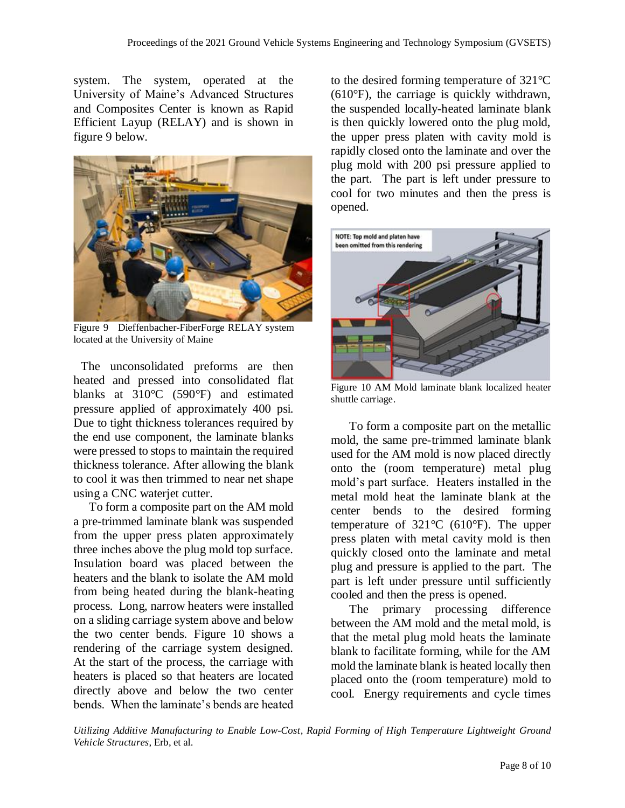system. The system, operated at the University of Maine's Advanced Structures and Composites Center is known as Rapid Efficient Layup (RELAY) and is shown in figure 9 below.



Figure 9 Dieffenbacher-FiberForge RELAY system located at the University of Maine

 The unconsolidated preforms are then heated and pressed into consolidated flat blanks at 310°C (590°F) and estimated pressure applied of approximately 400 psi. Due to tight thickness tolerances required by the end use component, the laminate blanks were pressed to stops to maintain the required thickness tolerance. After allowing the blank to cool it was then trimmed to near net shape using a CNC waterjet cutter.

 To form a composite part on the AM mold a pre-trimmed laminate blank was suspended from the upper press platen approximately three inches above the plug mold top surface. Insulation board was placed between the heaters and the blank to isolate the AM mold from being heated during the blank-heating process. Long, narrow heaters were installed on a sliding carriage system above and below the two center bends. Figure 10 shows a rendering of the carriage system designed. At the start of the process, the carriage with heaters is placed so that heaters are located directly above and below the two center bends. When the laminate's bends are heated

to the desired forming temperature of 321°C (610°F), the carriage is quickly withdrawn, the suspended locally-heated laminate blank is then quickly lowered onto the plug mold, the upper press platen with cavity mold is rapidly closed onto the laminate and over the plug mold with 200 psi pressure applied to the part. The part is left under pressure to cool for two minutes and then the press is opened.



Figure 10 AM Mold laminate blank localized heater shuttle carriage.

To form a composite part on the metallic mold, the same pre-trimmed laminate blank used for the AM mold is now placed directly onto the (room temperature) metal plug mold's part surface. Heaters installed in the metal mold heat the laminate blank at the center bends to the desired forming temperature of 321°C (610°F). The upper press platen with metal cavity mold is then quickly closed onto the laminate and metal plug and pressure is applied to the part. The part is left under pressure until sufficiently cooled and then the press is opened.

The primary processing difference between the AM mold and the metal mold, is that the metal plug mold heats the laminate blank to facilitate forming, while for the AM mold the laminate blank is heated locally then placed onto the (room temperature) mold to cool. Energy requirements and cycle times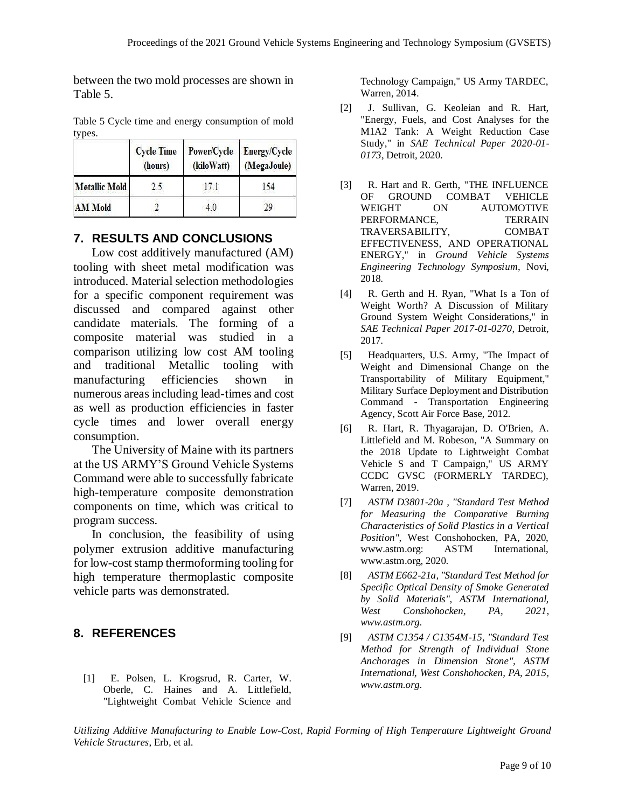between the two mold processes are shown in Table 5.

|                      | <b>Cycle Time</b><br>(hours) | (kiloWatt) | Power/Cycle Energy/Cycle<br>(MegaJoule) |  |  |  |
|----------------------|------------------------------|------------|-----------------------------------------|--|--|--|
| <b>Metallic Mold</b> | 2.5                          | 171        | 154                                     |  |  |  |
| <b>AM Mold</b>       |                              |            | 20                                      |  |  |  |

Table 5 Cycle time and energy consumption of mold types.

#### **7. RESULTS AND CONCLUSIONS**

Low cost additively manufactured (AM) tooling with sheet metal modification was introduced. Material selection methodologies for a specific component requirement was discussed and compared against other candidate materials. The forming of a composite material was studied in a comparison utilizing low cost AM tooling and traditional Metallic tooling with manufacturing efficiencies shown in numerous areas including lead-times and cost as well as production efficiencies in faster cycle times and lower overall energy consumption.

The University of Maine with its partners at the US ARMY'S Ground Vehicle Systems Command were able to successfully fabricate high-temperature composite demonstration components on time, which was critical to program success.

In conclusion, the feasibility of using polymer extrusion additive manufacturing for low-cost stamp thermoforming tooling for high temperature thermoplastic composite vehicle parts was demonstrated.

#### **8. REFERENCES**

[1] E. Polsen, L. Krogsrud, R. Carter, W. Oberle, C. Haines and A. Littlefield, "Lightweight Combat Vehicle Science and Technology Campaign," US Army TARDEC, Warren, 2014.

- [2] J. Sullivan, G. Keoleian and R. Hart, "Energy, Fuels, and Cost Analyses for the M1A2 Tank: A Weight Reduction Case Study," in *SAE Technical Paper 2020-01- 0173*, Detroit, 2020.
- [3] R. Hart and R. Gerth, "THE INFLUENCE OF GROUND COMBAT VEHICLE WEIGHT ON AUTOMOTIVE PERFORMANCE, TERRAIN TRAVERSABILITY, COMBAT EFFECTIVENESS, AND OPERATIONAL ENERGY," in *Ground Vehicle Systems Engineering Technology Symposium*, Novi, 2018.
- [4] R. Gerth and H. Ryan, "What Is a Ton of Weight Worth? A Discussion of Military Ground System Weight Considerations," in *SAE Technical Paper 2017-01-0270*, Detroit, 2017.
- [5] Headquarters, U.S. Army, "The Impact of Weight and Dimensional Change on the Transportability of Military Equipment," Military Surface Deployment and Distribution Command - Transportation Engineering Agency, Scott Air Force Base, 2012.
- [6] R. Hart, R. Thyagarajan, D. O'Brien, A. Littlefield and M. Robeson, "A Summary on the 2018 Update to Lightweight Combat Vehicle S and T Campaign," US ARMY CCDC GVSC (FORMERLY TARDEC), Warren, 2019.
- [7] *ASTM D3801-20a , "Standard Test Method for Measuring the Comparative Burning Characteristics of Solid Plastics in a Vertical Position",* West Conshohocken, PA, 2020, www.astm.org: ASTM International, www.astm.org, 2020.
- [8] *ASTM E662-21a, "Standard Test Method for Specific Optical Density of Smoke Generated by Solid Materials", ASTM International, West Conshohocken, PA, 2021, www.astm.org.*
- [9] *ASTM C1354 / C1354M-15, "Standard Test Method for Strength of Individual Stone Anchorages in Dimension Stone", ASTM International, West Conshohocken, PA, 2015, www.astm.org.*